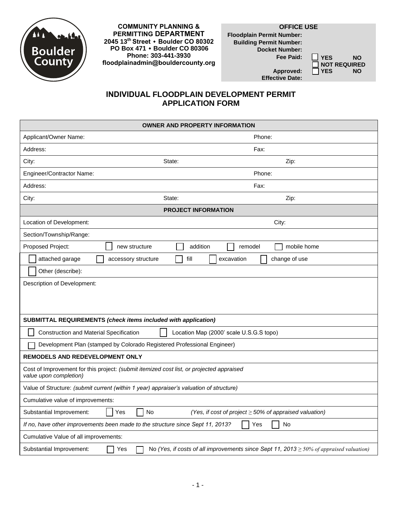

**COMMUNITY PLANNING & PERMITTING DEPARTMENT 2045 13th Street ۰ Boulder CO 80302 PO Box 471 ۰ Boulder CO 80306 Phone: 303-441-3930 floodplainadmin@bouldercounty.org**

## **OFFICE USE**

**Floodplain Permit Number: Building Permit Number: Docket Number:**

**Fee Paid: YES NO** ■ NOT REQUIRED<br>■ YES NO

 $Approved:$ **Effective Date:**

## **INDIVIDUAL FLOODPLAIN DEVELOPMENT PERMIT APPLICATION FORM**

| <b>OWNER AND PROPERTY INFORMATION</b>                                                                                           |                                                             |  |
|---------------------------------------------------------------------------------------------------------------------------------|-------------------------------------------------------------|--|
| Applicant/Owner Name:                                                                                                           | Phone:                                                      |  |
| Address:                                                                                                                        | Fax:                                                        |  |
| City:                                                                                                                           | State:<br>Zip:                                              |  |
| Engineer/Contractor Name:                                                                                                       | Phone:                                                      |  |
| Address:                                                                                                                        | Fax:                                                        |  |
| City:                                                                                                                           | State:<br>Zip:                                              |  |
| <b>PROJECT INFORMATION</b>                                                                                                      |                                                             |  |
| Location of Development:                                                                                                        | City:                                                       |  |
| Section/Township/Range:                                                                                                         |                                                             |  |
| Proposed Project:<br>new structure                                                                                              | addition<br>mobile home<br>remodel                          |  |
| attached garage<br>accessory structure                                                                                          | fill<br>change of use<br>excavation                         |  |
| Other (describe):                                                                                                               |                                                             |  |
| <b>Description of Development:</b>                                                                                              |                                                             |  |
|                                                                                                                                 |                                                             |  |
|                                                                                                                                 |                                                             |  |
| SUBMITTAL REQUIREMENTS (check items included with application)                                                                  |                                                             |  |
| <b>Construction and Material Specification</b><br>Location Map (2000' scale U.S.G.S topo)                                       |                                                             |  |
| Development Plan (stamped by Colorado Registered Professional Engineer)                                                         |                                                             |  |
| <b>REMODELS AND REDEVELOPMENT ONLY</b>                                                                                          |                                                             |  |
| Cost of Improvement for this project: (submit itemized cost list, or projected appraised<br>value upon completion)              |                                                             |  |
| Value of Structure: (submit current (within 1 year) appraiser's valuation of structure)                                         |                                                             |  |
| Cumulative value of improvements:                                                                                               |                                                             |  |
| No<br>Substantial Improvement:<br>Yes                                                                                           | (Yes, if cost of project $\geq$ 50% of appraised valuation) |  |
| If no, have other improvements been made to the structure since Sept 11, 2013?<br>No<br>Yes                                     |                                                             |  |
| Cumulative Value of all improvements:                                                                                           |                                                             |  |
| No (Yes, if costs of all improvements since Sept 11, 2013 $\geq$ 50% of appraised valuation)<br>Substantial Improvement:<br>Yes |                                                             |  |